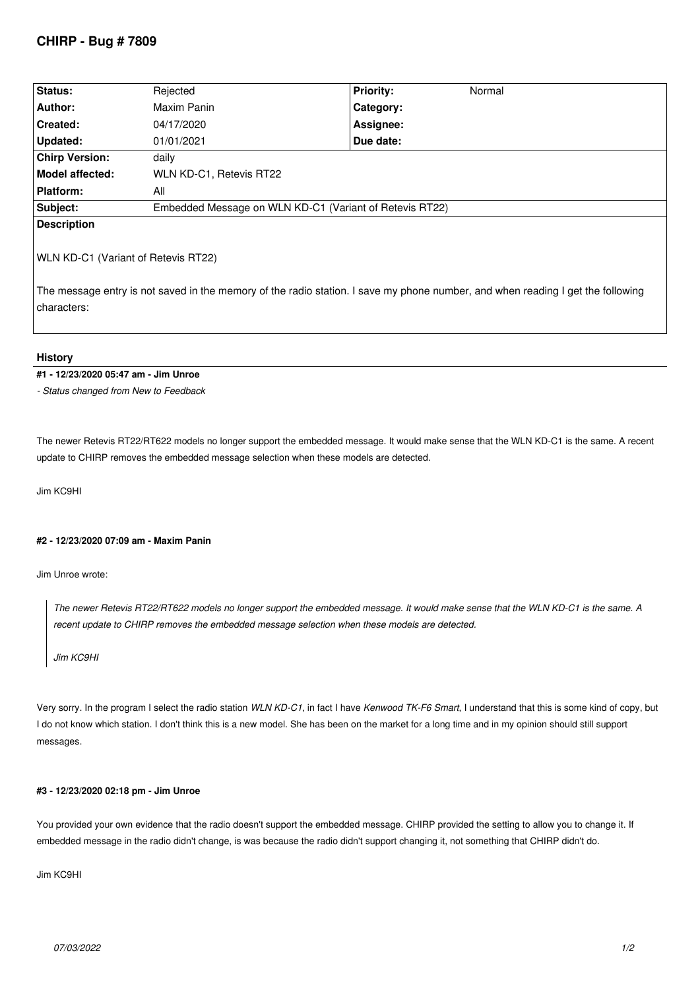# **CHIRP - Bug # 7809**

| Status:               | Rejected                                                | <b>Priority:</b> | Normal |  |
|-----------------------|---------------------------------------------------------|------------------|--------|--|
| Author:               | Maxim Panin                                             | Category:        |        |  |
| <b>Created:</b>       | 04/17/2020                                              | Assignee:        |        |  |
| Updated:              | 01/01/2021                                              | Due date:        |        |  |
| <b>Chirp Version:</b> | daily                                                   |                  |        |  |
| Model affected:       | WLN KD-C1, Retevis RT22                                 |                  |        |  |
| Platform:             | All                                                     |                  |        |  |
| Subject:              | Embedded Message on WLN KD-C1 (Variant of Retevis RT22) |                  |        |  |
| <b>Description</b>    |                                                         |                  |        |  |

### *WLN KD-C1 (Variant of Retevis RT22)*

*The message entry is not saved in the memory of the radio station. I save my phone number, and when reading I get the following characters:*

# **History**

#### **#1 - 12/23/2020 05:47 am - Jim Unroe**

*- Status changed from New to Feedback*

*The newer Retevis RT22/RT622 models no longer support the embedded message. It would make sense that the WLN KD-C1 is the same. A recent update to CHIRP removes the embedded message selection when these models are detected.*

*Jim KC9HI*

#### **#2 - 12/23/2020 07:09 am - Maxim Panin**

*Jim Unroe wrote:*

*The newer Retevis RT22/RT622 models no longer support the embedded message. It would make sense that the WLN KD-C1 is the same. A recent update to CHIRP removes the embedded message selection when these models are detected.*

*Jim KC9HI*

*Very sorry. In the program I select the radio station WLN KD-C1, in fact I have Kenwood TK-F6 Smart, I understand that this is some kind of copy, but I do not know which station. I don't think this is a new model. She has been on the market for a long time and in my opinion should still support messages.*

#### **#3 - 12/23/2020 02:18 pm - Jim Unroe**

*You provided your own evidence that the radio doesn't support the embedded message. CHIRP provided the setting to allow you to change it. If embedded message in the radio didn't change, is was because the radio didn't support changing it, not something that CHIRP didn't do.*

*Jim KC9HI*